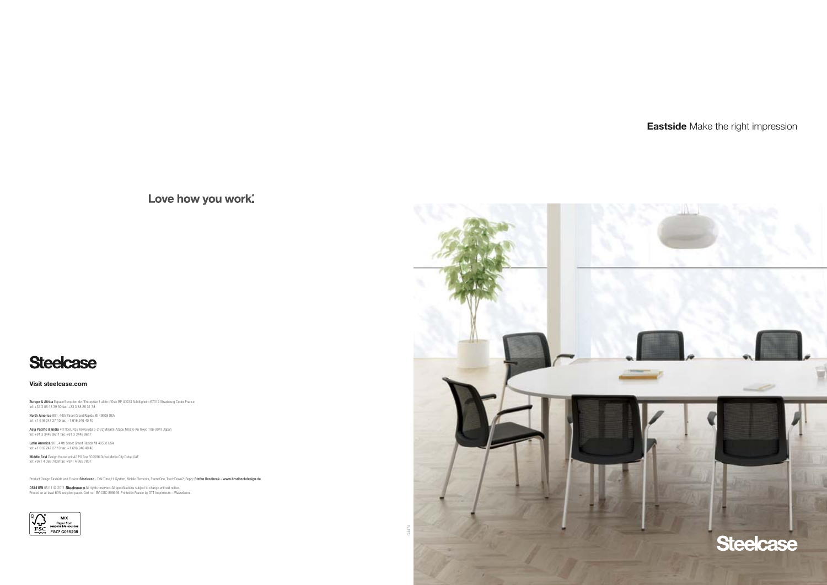

Love how you work.



**Visit steelcase.com**

**Europe & Africa** Espace Européen de l'Entreprise 1 allée d'Oslo BP 40033 Schiltigheim 67012 Strasbourg Cedex France<br>tel: +33 3 88 13 30 30 fax: +33 3 88 28 31 78

**North America** 901, 44th Street Grand Rapids MI 49508 USA tel: +1 616 247 27 10 fax: +1 616 246 40 40

**Asia Pacific & India** 4th floor, N32 Kowa Bdg 5-2-32 Minami-Azabu Minato-Ku Tokyo 106-0047 Japan tel: +81 3 3448 9611 fax: +81 3 3448 9617

**Latin America** 901, 44th Street Grand Rapids MI 49508 USA<br>tel: +1 616 247 27 10 fax: +1 616 246 40 40

**Middle East** Design House unit A2 PO Box 502596 Dubai Media City Dubai UAE tel: +971 4 369 7838 fax: +971 4 369 7837

# **Eastside** Make the right impression

Product Design Eastside and Fusion: **Steelcase** - Talk Time, H. System, Mobile Elements, FrameOne, TouchDown2, Reply: **Stefan Brodbeck - www.brodbeckdesign.de**

**DS141EN** 05/11 © 2011 **Steelcase** ® All rights reserved. All specifications subject to change without notice.<br>Printed on at least 60% recycled paper. Cert no. BV-COC-858659. Printed in France by OTT Imprimeurs – Wasselon

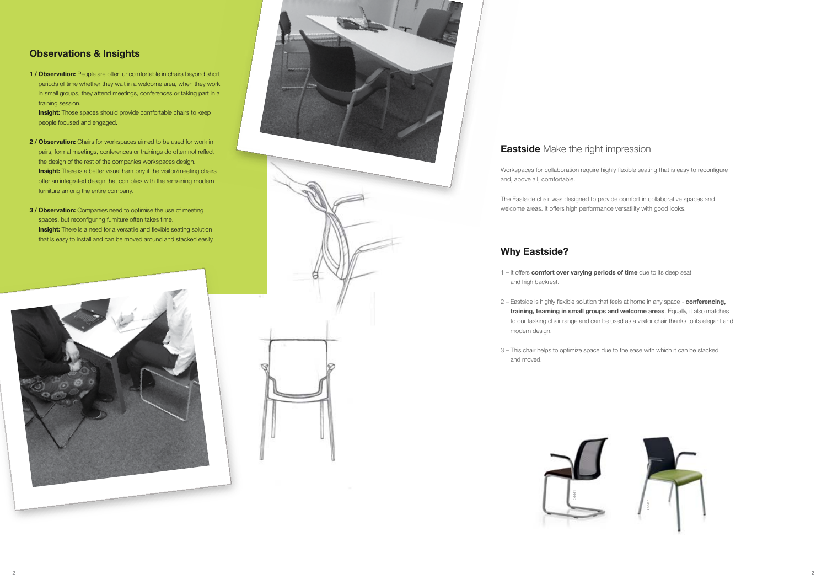



## **Eastside** Make the right impression

Workspaces for collaboration require highly flexible seating that is easy to reconfigure and, above all, comfortable.

The Eastside chair was designed to provide comfort in collaborative spaces and welcome areas. It offers high performance versatility with good looks.

## **Why Eastside?**

- 1 It offers **comfort over varying periods of time** due to its deep seat and high backrest.
- 2 Eastside is highly flexible solution that feels at home in any space **conferencing, training, teaming in small groups and welcome areas**. Equally, it also matches to our tasking chair range and can be used as a visitor chair thanks to its elegant and modern design.
- 3 This chair helps to optimize space due to the ease with which it can be stacked and moved.



**Insight:** Those spaces should provide comfortable chairs to keep people focused and engaged.



# **Observations & Insights**

- **2 / Observation:** Chairs for workspaces aimed to be used for work in pairs, formal meetings, conferences or trainings do often not reflect the design of the rest of the companies workspaces design. **Insight:** There is a better visual harmony if the visitor/meeting chairs offer an integrated design that complies with the remaining modern furniture among the entire company.
- **3 / Observation:** Companies need to optimise the use of meeting spaces, but reconfiguring furniture often takes time. **Insight:** There is a need for a versatile and flexible seating solution that is easy to install and can be moved around and stacked easily.

**1 / Observation:** People are often uncomfortable in chairs beyond short periods of time whether they wait in a welcome area, when they work in small groups, they attend meetings, conferences or taking part in a training session.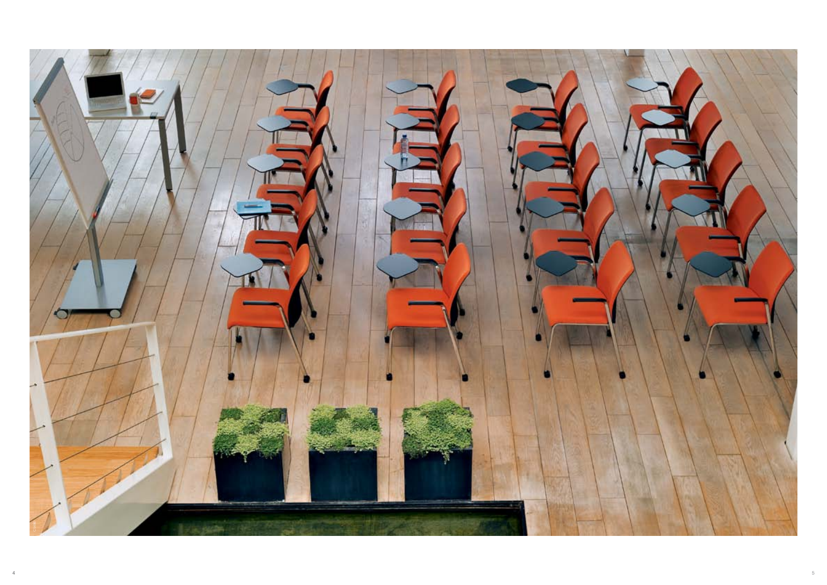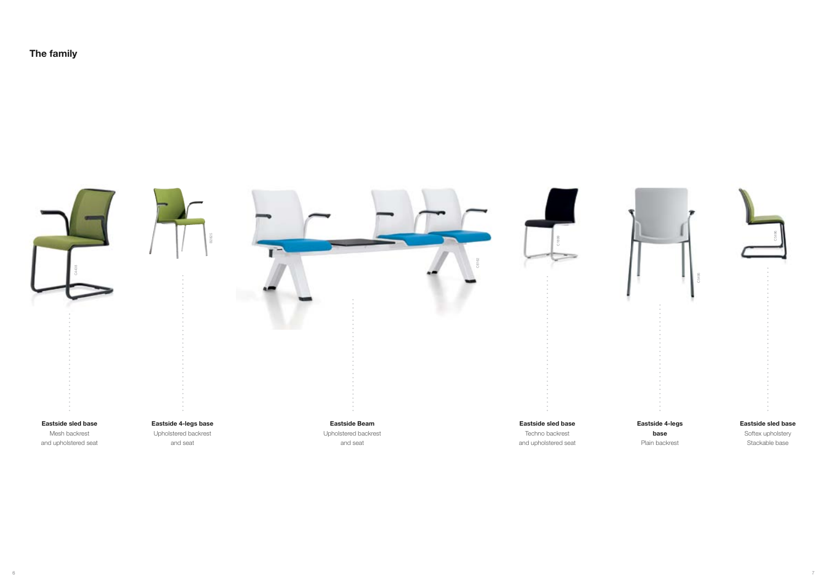**The family**

### **Eastside sled base**

Softex upholstery Stackable base





**base** Plain backrest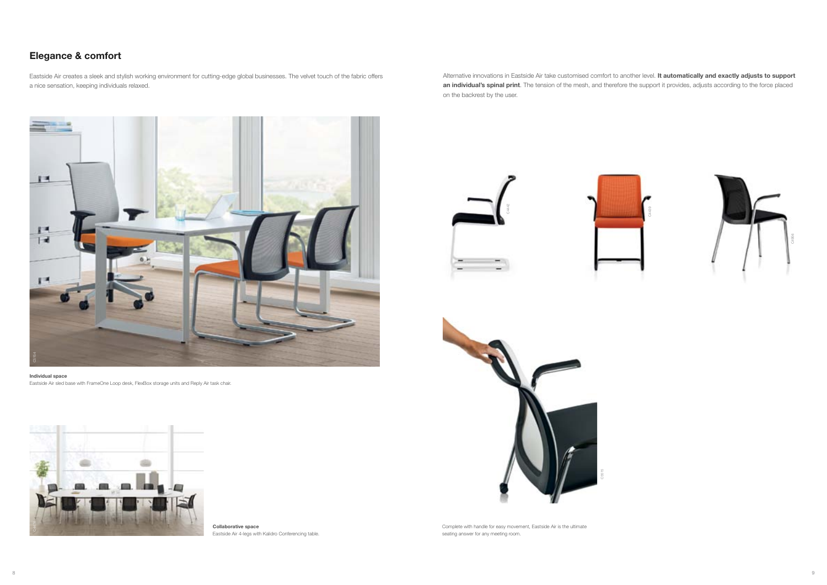

# **Elegance & comfort**

Eastside Air creates a sleek and stylish working environment for cutting-edge global businesses. The velvet touch of the fabric offers a nice sensation, keeping individuals relaxed.

Alternative innovations in Eastside Air take customised comfort to another level. **It automatically and exactly adjusts to support an individual's spinal print**. The tension of the mesh, and therefore the support it provides, adjusts according to the force placed on the backrest by the user.

**Collaborative space** Eastside Air 4-legs with Kalidro Conferencing table.







Complete with handle for easy movement, Eastside Air is the ultimate seating answer for any meeting room.





#### **Individual space**

Eastside Air sled base with FrameOne Loop desk, FlexBox storage units and Reply Air task chair.

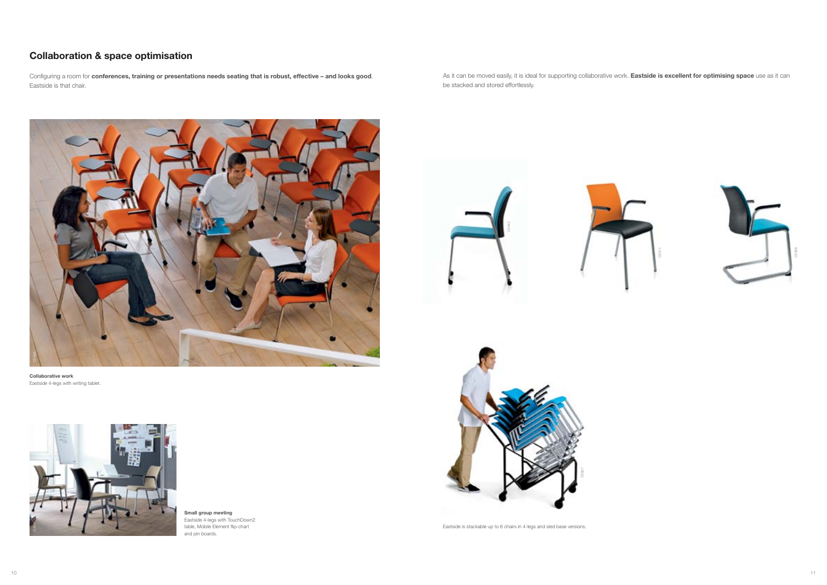# **Collaboration & space optimisation**

Configuring a room for **conferences, training or presentations needs seating that is robust, effective – and looks good**. Eastside is that chair.



**Collaborative work**  Eastside 4-legs with writing tablet.



As it can be moved easily, it is ideal for supporting collaborative work. **Eastside is excellent for optimising space** use as it can be stacked and stored effortlessly.

**Small group meeting** Eastside 4-legs with TouchDown2 table, Mobile Element flip-chart and pin boards.



Eastside is stackable up to 6 chairs in 4-legs and sled base versions.